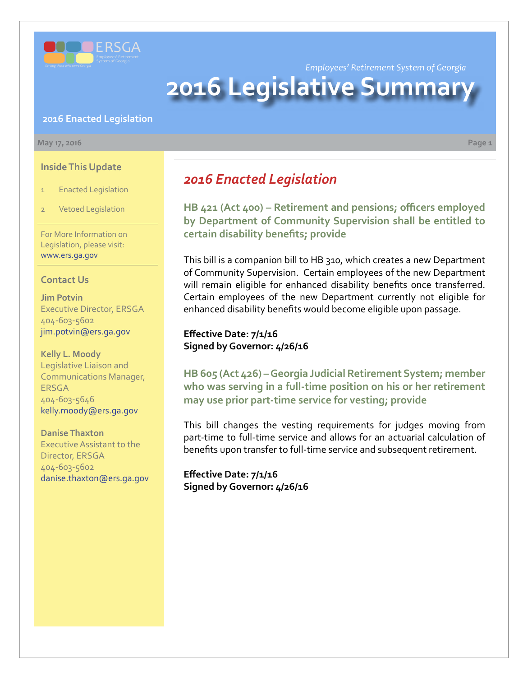

*Employees' Retirement System of Georgia*

# **2016 Legislative Summar**

#### **2016 Enacted Legislation**

#### **May 17, 2016 Page 1**

**Inside This Update**

- 1 Enacted Legislation
- **Vetoed Legislation**

For More Information on Legislation, please visit: www.ers.ga.gov

### **Contact Us**

**Jim Potvin** Executive Director, ERSGA 404-603-5602 jim.potvin@ers.ga.gov

**Kelly L. Moody** Legislative Liaison and Communications Manager, ERSGA 404-603-5646 kelly.moody@ers.ga.gov

**Danise Thaxton** Executive Assistant to the Director, ERSGA 404-603-5602 danise.thaxton@ers.ga.gov *2016 Enacted Legislation*

**H[B 421 \(Act 400\) – R](http://www.legis.ga.gov/legislation/en-US/Display/20152016/HB/421)etirement and pensions; officers employed by Department of Community Supervision shall be entitled to certain disability benefits; provide**

This bill is a companion bill to HB 310, which creates a new Department of Community Supervision. Certain employees of the new Department will remain eligible for enhanced disability benefits once transferred. Certain employees of the new Department currently not eligible for enhanced disability benefits would become eligible upon passage.

**Effective Date: 7/1/16 Signed by Governor: 4/26/16**

**H[B 605 \(Act 426\) – G](http://www.legis.ga.gov/legislation/en-US/Display/20152016/HB/605)eorgia Judicial Retirement System; member who was serving in a full-time position on his or her retirement may use prior part-time service for vesting; provide**

This bill changes the vesting requirements for judges moving from part-time to full-time service and allows for an actuarial calculation of benefits upon transfer to full-time service and subsequent retirement.

**Effective Date: 7/1/16 Signed by Governor: 4/26/16**